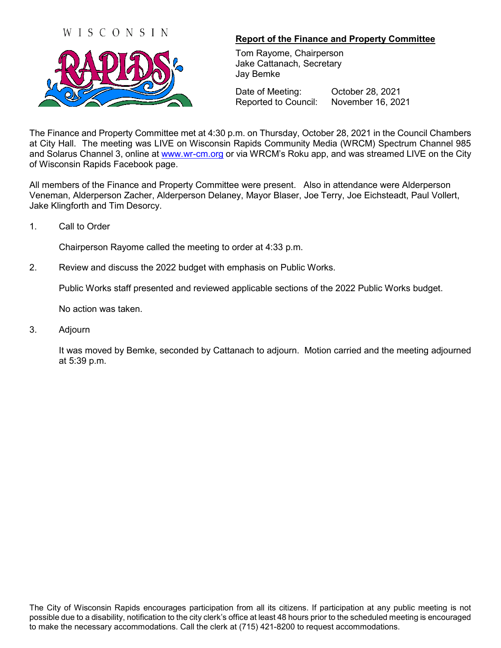



## **Report of the Finance and Property Committee**

Tom Rayome, Chairperson Jake Cattanach, Secretary Jay Bemke

Date of Meeting: October 28, 2021 Reported to Council: November 16, 2021

The Finance and Property Committee met at 4:30 p.m. on Thursday, October 28, 2021 in the Council Chambers at City Hall. The meeting was LIVE on Wisconsin Rapids Community Media (WRCM) Spectrum Channel 985 and Solarus Channel 3, online at [www.wr-cm.org](http://www.wr-cm.org/) or via WRCM's Roku app, and was streamed LIVE on the City of Wisconsin Rapids Facebook page.

All members of the Finance and Property Committee were present. Also in attendance were Alderperson Veneman, Alderperson Zacher, Alderperson Delaney, Mayor Blaser, Joe Terry, Joe Eichsteadt, Paul Vollert, Jake Klingforth and Tim Desorcy.

1. Call to Order

Chairperson Rayome called the meeting to order at 4:33 p.m.

2. Review and discuss the 2022 budget with emphasis on Public Works.

Public Works staff presented and reviewed applicable sections of the 2022 Public Works budget.

No action was taken.

3. Adjourn

It was moved by Bemke, seconded by Cattanach to adjourn. Motion carried and the meeting adjourned at 5:39 p.m.